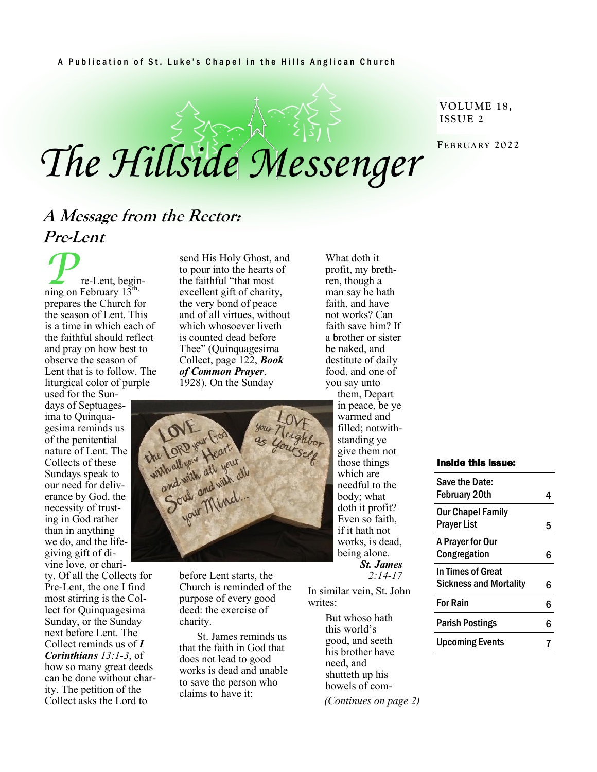#### A Publication of St. Luke's Chapel in the Hills Anglican Church

# *The Hillside Messenger*

#### **VOLUME 18, ISSUE 2**

**FEBRUARY 2022**

# **A Message from the Rector: Pre-Lent**

**P**re-Lent, beginprepares the Church for the season of Lent. This is a time in which each of the faithful should reflect and pray on how best to observe the season of Lent that is to follow. The liturgical color of purple

used for the Sundays of Septuagesima to Quinquagesima reminds us of the penitential nature of Lent. The Collects of these Sundays speak to our need for deliverance by God, the necessity of trusting in God rather than in anything we do, and the lifegiving gift of divine love, or chari-

ty. Of all the Collects for Pre-Lent, the one I find most stirring is the Collect for Quinquagesima Sunday, or the Sunday next before Lent. The Collect reminds us of *I Corinthians 13:1-3*, of how so many great deeds can be done without charity. The petition of the Collect asks the Lord to

send His Holy Ghost, and to pour into the hearts of the faithful "that most excellent gift of charity, the very bond of peace and of all virtues, without which whosoever liveth is counted dead before Thee" (Quinquagesima Collect, page 122, *Book of Common Prayer*, 1928). On the Sunday



before Lent starts, the Church is reminded of the purpose of every good deed: the exercise of charity.

St. James reminds us that the faith in God that does not lead to good works is dead and unable to save the person who claims to have it:

destitute of daily food, and one of you say unto them, Depart in peace, be ye warmed and filled; notwithstanding ye give them not those things which are needful to the body; what doth it profit? Even so faith, if it hath not works, is dead, being alone. *St. James 2:14-17*

What doth it profit, my brethren, though a man say he hath faith, and have not works? Can faith save him? If a brother or sister be naked, and

In similar vein, St. John writes<sup>.</sup>

> But whoso hath this world's good, and seeth his brother have need, and shutteth up his bowels of com- *(Continues on page 2)*

#### Inside this issue:

| Save the Date:<br><b>February 20th</b>             |   |
|----------------------------------------------------|---|
| <b>Our Chapel Family</b><br>Prayer List            | 5 |
| A Prayer for Our<br>Congregation                   | հ |
| In Times of Great<br><b>Sickness and Mortality</b> | 6 |
| <b>For Rain</b>                                    | 6 |
| Parish Postings                                    | հ |
| <b>Upcoming Events</b>                             |   |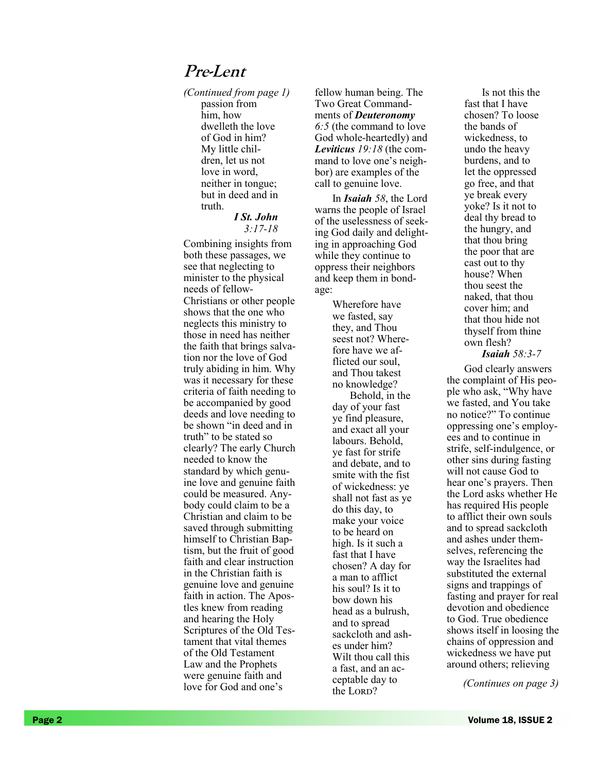## **Pre-Lent**

passion from him, how dwelleth the love of God in him? My little children, let us not love in word, neither in tongue; but in deed and in truth. *(Continued from page* 

#### *I St. John 3:17-18*

Combining insights from both these passages, we see that neglecting to minister to the physical needs of fellow - Christians or other people shows that the one who neglects this ministry to those in need has neither the faith that brings salvation nor the love of God truly abiding in him. Why was it necessary for these criteria of faith needing to be accompanied by good deeds and love needing to be shown "in deed and in truth" to be stated so clearly? The early Church needed to know the standard by which genuine love and genuine faith could be measured. Anybody could claim to be a Christian and claim to be saved through submitting himself to Christian Baptism, but the fruit of good faith and clear instruction in the Christian faith is genuine love and genuine faith in action. The Apostles knew from reading and hearing the Holy Scriptures of the Old Testament that vital themes of the Old Testament Law and the Prophets were genuine faith and love for God and one 's

*1)* fellow human being. The Two Great Commandments of *Deuteronomy 6:5* (the command to love God whole -heartedly) and *Leviticus 19:18* (the command to love one's neighbor) are examples of the call to genuine love.

In *Isaiah 58*, the Lord warns the people of Israel of the uselessness of seeking God daily and delighting in approaching God while they continue to oppress their neighbors and keep them in bondage:

> Wherefore have we fasted, say they, and Thou seest not? Wherefore have we afflicted our soul. and Thou takest no knowledge? Behold, in the day of your fast ye find pleasure, and exact all your labours. Behold, ye fast for strife and debate, and to smite with the fist of wickedness: ye shall not fast as ye do this day, to make your voice to be heard on high. Is it such a fast that I have chosen? A day for a man to afflict his soul? Is it to bow down his head as a bulrush, and to spread sackcloth and ashes under him? Wilt thou call this a fast, and an acceptable day to the Lord?

Is not this the fast that I have chosen? To loose the bands of wickedness, to undo the heavy burdens, and to let the oppressed go free, and that ye break every yoke? Is it not to deal thy bread to the hungry, and that thou bring the poor that are cast out to thy house? When thou seest the naked, that thou cover him; and that thou hide not thyself from thine own flesh? *Isaiah 58:3 - 7*

God clearly answers the complaint of His people who ask, "Why have we fasted, and You take no notice?" To continue oppressing one 's employees and to continue in strife, self-indulgence, or other sins during fasting will not cause God to hear one 's prayers. Then the Lord asks whether He has required His people to afflict their own souls and to spread sackcloth and ashes under themselves, referencing the way the Israelites had substituted the external signs and trappings of fasting and prayer for real devotion and obedience to God. True obedience shows itself in loosing the chains of oppression and wickedness we have put around others; relieving

*(Continues on page 3)*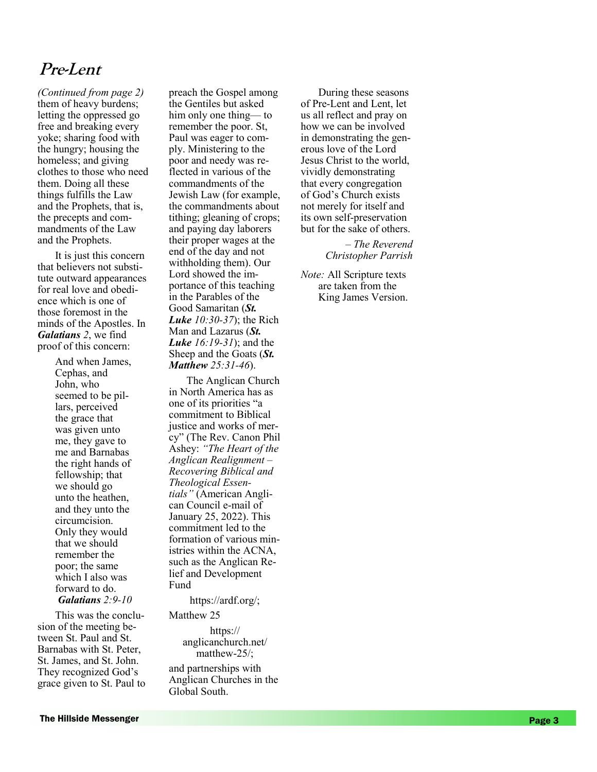# **Pre-Lent**

them of heavy burdens; letting the oppressed go free and breaking every yoke; sharing food with the hungry; housing the homeless; and giving clothes to those who need them. Doing all these things fulfills the Law and the Prophets, that is, the precepts and commandments of the Law and the Prophets. *(Continued from page* 

It is just this concern that believers not substitute outward appearances for real love and obedience which is one of those foremost in the minds of the Apostles. In *Galatians 2*, we find proof of this concern:

> And when James, Cephas, and John, who seemed to be pillars, perceived the grace that was given unto me, they gave to me and Barnabas the right hands of fellowship; that we should go unto the heathen, and they unto the circumcision. Only they would that we should remember the poor; the same which I also was forward to do. *Galatians 2:9 -10*

This was the conclusion of the meeting between St. Paul and St. Barnabas with St. Peter, St. James, and St. John. They recognized God 's grace given to St. Paul to

*2)* preach the Gospel among the Gentiles but asked him only one thing — to remember the poor. St, Paul was eager to comply. Ministering to the poor and needy was reflected in various of the commandments of the Jewish Law (for example, the commandments about tithing; gleaning of crops; and paying day laborers their proper wages at the end of the day and not withholding them). Our Lord showed the importance of this teaching in the Parables of the Good Samaritan (*St. Luke 10:30 -37*); the Rich Man and Lazarus (*St. Luke 16:19 -31*); and the Sheep and the Goats (*St. Matthew 25:31 -46*).

The Anglican Church in North America has as one of its priorities "a commitment to Biblical justice and works of mercy" (The Rev. Canon Phil Ashey: *"The Heart of the Anglican Realignment – Recovering Biblical and Theological Essentials"* (American Anglican Council e-mail of January 25, 2022). This commitment led to the formation of various ministries within the ACNA, such as the Anglican Relief and Development Fund

<https://ardf.org/> ;

Matthew 25

[https://](https://anglicanchurch.net/matthew-25/) [anglicanchurch.net/](https://anglicanchurch.net/matthew-25/) [matthew](https://anglicanchurch.net/matthew-25/) -25/ ;

and partnerships with Anglican Churches in the Global South.

During these seasons of Pre -Lent and Lent, let us all reflect and pray on how we can be involved in demonstrating the generous love of the Lord Jesus Christ to the world, vividly demonstrating that every congregation of God 's Church exists not merely for itself and its own self-preservation but for the sake of others.

> *– The Reverend Christopher Parrish*

*Note:* All Scripture texts are taken from the King James Version.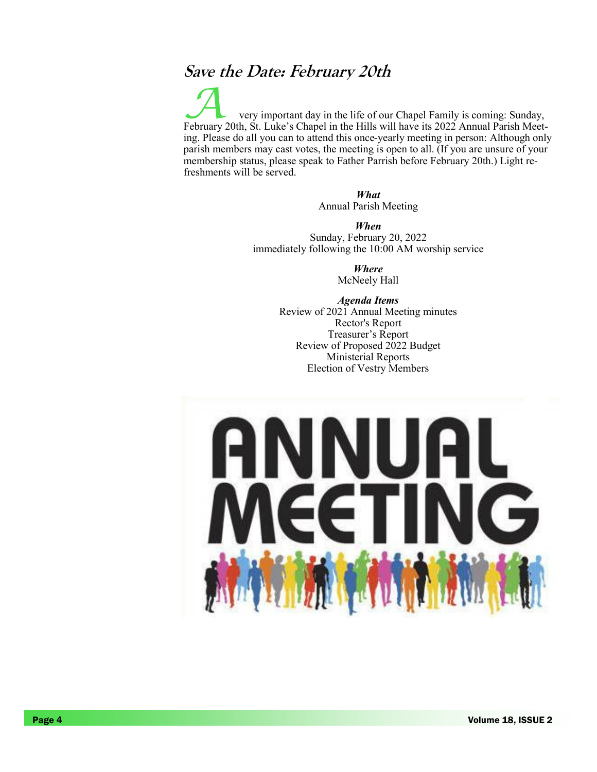## **Save the Date: February 20th**

very important day in the life of our Chapel Family is coming: Sunday, February 20th, St. Luke's Chapel in the Hills will have its 2022 Annual Parish Meeting. Please do all you can to attend this once-yearly meeting in person: Although only parish members may cast votes, the meeting is open to all. (If you are unsure of your membership status, please speak to Father Parrish before February 20th.) Light refreshments will be served.

> *What* Annual Parish Meeting

*When* Sunday, February 20, 2022 immediately following the 10:00 AM worship service

> *Where* McNeely Hall

*Agenda Items* Review of 2021 Annual Meeting minutes Rector's Report Treasurer's Report Review of Proposed 2022 Budget Ministerial Reports Election of Vestry Members

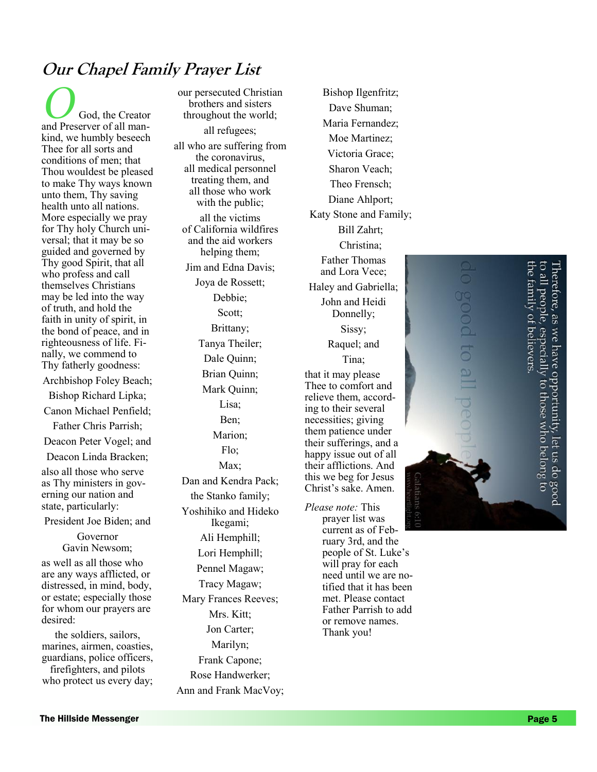# **Our Chapel Family Prayer List**

 $\bigcirc$  God, the Creator and Preserver of all mankind, we humbly beseech Thee for all sorts and conditions of men; that Thou wouldest be pleased to make Thy ways known unto them, Thy saving health unto all nations. More especially we pray for Thy holy Church universal; that it may be so guided and governed by Thy good Spirit, that all who profess and call themselves Christians may be led into the way of truth, and hold the faith in unity of spirit, in the bond of peace, and in righteousness of life. Finally, we commend to Thy fatherly goodness:

Archbishop Foley Beach;

Bishop Richard Lipka;

Canon Michael Penfield;

Father Chris Parrish; Deacon Peter Vogel; and

Deacon Linda Bracken;

also all those who serve as Thy ministers in governing our nation and state, particularly:

President Joe Biden; and

Governor Gavin Newsom;

as well as all those who are any ways afflicted, or distressed, in mind, body, or estate; especially those for whom our prayers are desired:

the soldiers, sailors, marines, airmen, coasties, guardians, police officers, firefighters, and pilots who protect us every day;

our persecuted Christian brothers and sisters throughout the world; all refugees; all who are suffering from the coronavirus, all medical personnel treating them, and all those who work with the public; all the victims of California wildfires and the aid workers helping them; Jim and Edna Davis; Joya de Rossett; Debbie; Scott; Brittany; Tanya Theiler; Dale Quinn; Brian Quinn; Mark Quinn; Lisa; Ben; Marion; Flo; Max; Dan and Kendra Pack; the Stanko family; Yoshihiko and Hideko Ikegami; Ali Hemphill; Lori Hemphill; Pennel Magaw; Tracy Magaw; Mary Frances Reeves; Mrs. Kitt; Jon Carter; Marilyn; Frank Capone; Rose Handwerker; Ann and Frank MacVoy;

Dave Shuman; Maria Fernandez; Moe Martinez; Victoria Grace; Sharon Veach; Theo Frensch; Diane Ahlport; Katy Stone and Family; Bill Zahrt; Christina; Father Thomas and Lora Vece; Haley and Gabriella; John and Heidi Donnelly; Sissy; Raquel; and Tina; that it may please Thee to comfort and relieve them, according to their several necessities; giving them patience under their sufferings, and a happy issue out of all their afflictions. And this we beg for Jesus Christ 's sake. Amen. *Please note:* This prayer list was

Bishop Ilgenfritz;

current as of February 3rd, and the people of St. Luke 's will pray for each need until we are notified that it has been met. Please contact Father Parrish to add or remove names. Thank you!

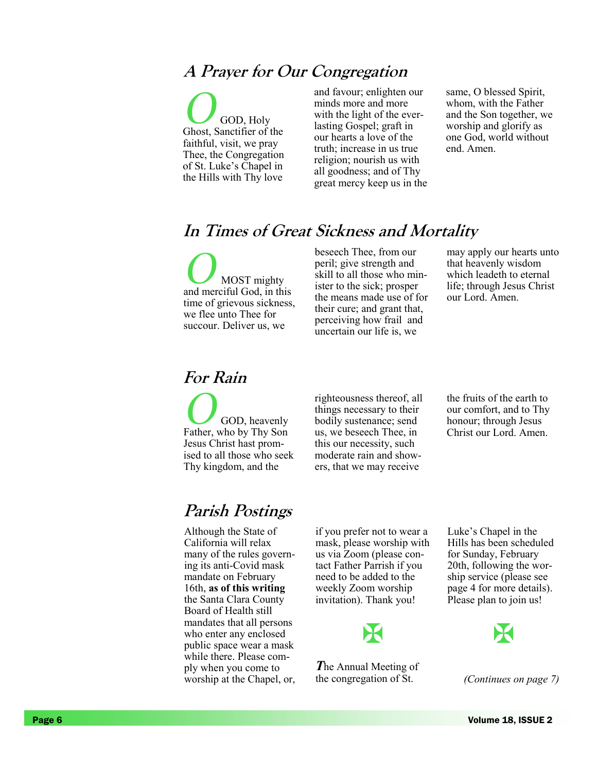## **A Prayer for Our Congregation**

**O** GOD, Holy Ghost, Sanctifier of the faithful, visit, we pray Thee, the Congregation of St. Luke's Chapel in the Hills with Thy love

and favour; enlighten our minds more and more with the light of the everlasting Gospel; graft in our hearts a love of the truth; increase in us true religion; nourish us with all goodness; and of Thy great mercy keep us in the same, O blessed Spirit, whom, with the Father and the Son together, we worship and glorify as one God, world without end. Amen.

# **In Times of Great Sickness and Mortality**

**O MOST** mighty and merciful God, in this time of grievous sickness, we flee unto Thee for succour. Deliver us, we

beseech Thee, from our peril; give strength and skill to all those who minister to the sick; prosper the means made use of for their cure; and grant that, perceiving how frail and uncertain our life is, we

may apply our hearts unto that heavenly wisdom which leadeth to eternal life; through Jesus Christ our Lord. Amen.

## **For Rain**

**O**GOD, heavenly Father, who by Thy Son Jesus Christ hast promised to all those who seek Thy kingdom, and the

righteousness thereof, all things necessary to their bodily sustenance; send us, we beseech Thee, in this our necessity, such moderate rain and showers, that we may receive

the fruits of the earth to our comfort, and to Thy honour; through Jesus Christ our Lord. Amen.

# **Parish Postings**

Although the State of California will relax many of the rules governing its anti-Covid mask mandate on February 16th, **as of this writing**  the Santa Clara County Board of Health still mandates that all persons who enter any enclosed public space wear a mask while there. Please comply when you come to worship at the Chapel, or,

if you prefer not to wear a mask, please worship with us via Zoom (please contact Father Parrish if you need to be added to the weekly Zoom worship invitation). Thank you!



*T*he Annual Meeting of the congregation of St.

Luke's Chapel in the Hills has been scheduled for Sunday, February 20th, following the worship service (please see page 4 for more details). Please plan to join us!



*(Continues on page 7)*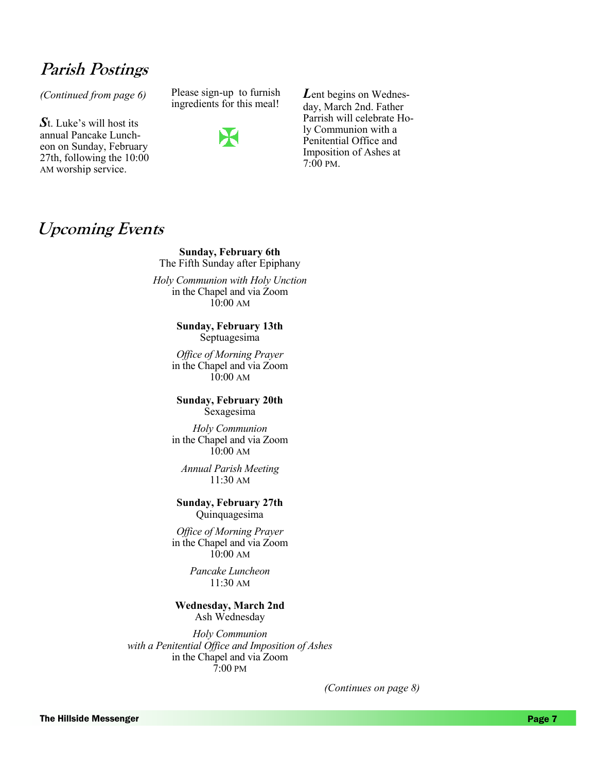# **Parish Postings**

*S*t. Luke's will host its annual Pancake Luncheon on Sunday, February 27th, following the 10:00 AM worship service.

*(Continued from page 6)* Please sign-up to furnish ingredients for this meal!



*L*ent begins on Wednesday, March 2nd. Father Parrish will celebrate Holy Communion with a Penitential Office and Imposition of Ashes at 7:00 PM.

## **Upcoming Events**

**Sunday, February 6th** The Fifth Sunday after Epiphany

*Holy Communion with Holy Unction* in the Chapel and via Zoom  $10:00 \text{ AM}$ 

> **Sunday, February 13th** Septuagesima

*Office of Morning Prayer* in the Chapel and via Zoom  $10.00 \text{ AM}$ 

**Sunday, February 20th** Sexagesima

*Holy Communion* in the Chapel and via Zoom  $10:00 \text{ AM}$ 

*Annual Parish Meeting* 11:30 AM

**Sunday, February 27th** Quinquagesima

*Office of Morning Prayer* in the Chapel and via Zoom  $10.00 \text{ AM}$ 

> *Pancake Luncheon* 11:30 AM

#### **Wednesday, March 2nd**

Ash Wednesday

*Holy Communion with a Penitential Office and Imposition of Ashes* in the Chapel and via Zoom 7:00 PM

*(Continues on page 8)*